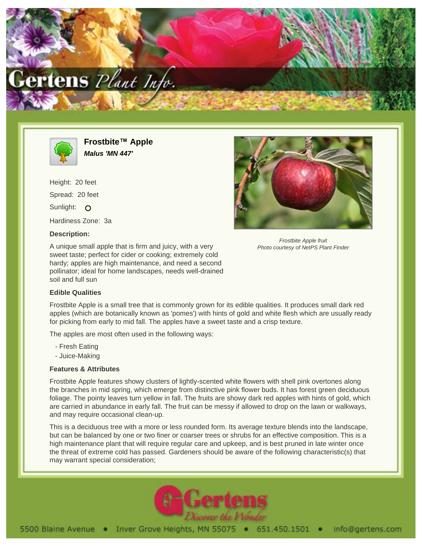



**Frostbite™ Apple Malus 'MN 447'**

Height: 20 feet Spread: 20 feet Sunlight: O Hardiness Zone: 3a

# **Description:**

A unique small apple that is firm and juicy, with a very sweet taste; perfect for cider or cooking; extremely cold hardy; apples are high maintenance, and need a second pollinator; ideal for home landscapes, needs well-drained soil and full sun

#### **Edible Qualities**

Frostbite Apple is a small tree that is commonly grown for its edible qualities. It produces small dark red apples (which are botanically known as 'pomes') with hints of gold and white flesh which are usually ready for picking from early to mid fall. The apples have a sweet taste and a crisp texture.

The apples are most often used in the following ways:

- Fresh Eating
- Juice-Making

# **Features & Attributes**

Frostbite Apple features showy clusters of lightly-scented white flowers with shell pink overtones along the branches in mid spring, which emerge from distinctive pink flower buds. It has forest green deciduous foliage. The pointy leaves turn yellow in fall. The fruits are showy dark red apples with hints of gold, which are carried in abundance in early fall. The fruit can be messy if allowed to drop on the lawn or walkways, and may require occasional clean-up.

This is a deciduous tree with a more or less rounded form. Its average texture blends into the landscape, but can be balanced by one or two finer or coarser trees or shrubs for an effective composition. This is a high maintenance plant that will require regular care and upkeep, and is best pruned in late winter once the threat of extreme cold has passed. Gardeners should be aware of the following characteristic(s) that may warrant special consideration;





Frostbite Apple fruit Photo courtesy of NetPS Plant Finder